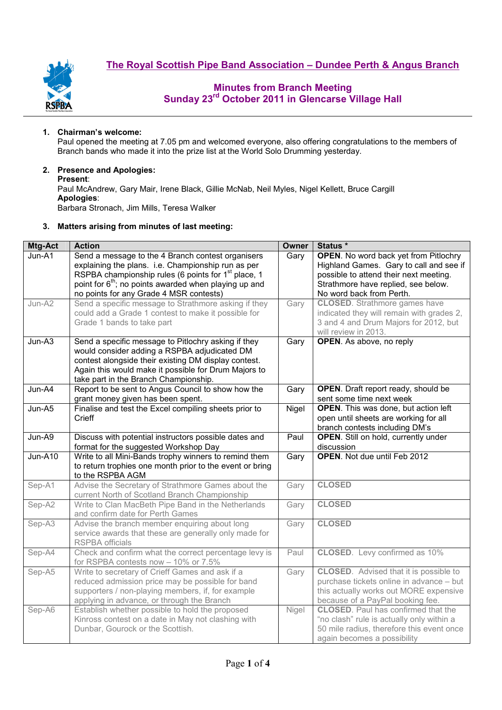



#### **1. Chairman's welcome:**

Paul opened the meeting at 7.05 pm and welcomed everyone, also offering congratulations to the members of Branch bands who made it into the prize list at the World Solo Drumming yesterday.

### **2. Presence and Apologies:**

#### **Present**:

Paul McAndrew, Gary Mair, Irene Black, Gillie McNab, Neil Myles, Nigel Kellett, Bruce Cargill **Apologies**: Barbara Stronach, Jim Mills, Teresa Walker

# **3. Matters arising from minutes of last meeting:**

| Mtg-Act | <b>Action</b>                                                                                                                                                                                                                                                                              | Owner | Status *                                                                                                                                                                                             |  |  |  |
|---------|--------------------------------------------------------------------------------------------------------------------------------------------------------------------------------------------------------------------------------------------------------------------------------------------|-------|------------------------------------------------------------------------------------------------------------------------------------------------------------------------------------------------------|--|--|--|
| Jun-A1  | Send a message to the 4 Branch contest organisers<br>explaining the plans. i.e. Championship run as per<br>RSPBA championship rules (6 points for 1 <sup>st</sup> place, 1<br>point for 6 <sup>th</sup> ; no points awarded when playing up and<br>no points for any Grade 4 MSR contests) | Gary  | <b>OPEN.</b> No word back yet from Pitlochry<br>Highland Games. Gary to call and see if<br>possible to attend their next meeting.<br>Strathmore have replied, see below.<br>No word back from Perth. |  |  |  |
| Jun-A2  | Send a specific message to Strathmore asking if they<br>could add a Grade 1 contest to make it possible for<br>Grade 1 bands to take part                                                                                                                                                  | Gary  | <b>CLOSED</b> . Strathmore games have<br>indicated they will remain with grades 2,<br>3 and 4 and Drum Majors for 2012, but<br>will review in 2013.                                                  |  |  |  |
| Jun-A3  | Send a specific message to Pitlochry asking if they<br>would consider adding a RSPBA adjudicated DM<br>contest alongside their existing DM display contest.<br>Again this would make it possible for Drum Majors to<br>take part in the Branch Championship.                               | Gary  | OPEN. As above, no reply                                                                                                                                                                             |  |  |  |
| Jun-A4  | Report to be sent to Angus Council to show how the<br>grant money given has been spent.                                                                                                                                                                                                    | Gary  | <b>OPEN</b> . Draft report ready, should be<br>sent some time next week                                                                                                                              |  |  |  |
| Jun-A5  | Finalise and test the Excel compiling sheets prior to<br><b>Crieff</b>                                                                                                                                                                                                                     | Nigel | <b>OPEN</b> . This was done, but action left<br>open until sheets are working for all<br>branch contests including DM's                                                                              |  |  |  |
| Jun-A9  | Discuss with potential instructors possible dates and<br>format for the suggested Workshop Day                                                                                                                                                                                             | Paul  | <b>OPEN.</b> Still on hold, currently under<br>discussion                                                                                                                                            |  |  |  |
| Jun-A10 | Write to all Mini-Bands trophy winners to remind them<br>to return trophies one month prior to the event or bring<br>to the RSPBA AGM                                                                                                                                                      | Gary  | <b>OPEN.</b> Not due until Feb 2012                                                                                                                                                                  |  |  |  |
| Sep-A1  | Advise the Secretary of Strathmore Games about the<br>current North of Scotland Branch Championship                                                                                                                                                                                        | Gary  | <b>CLOSED</b>                                                                                                                                                                                        |  |  |  |
| Sep-A2  | Write to Clan MacBeth Pipe Band in the Netherlands<br>and confirm date for Perth Games                                                                                                                                                                                                     | Gary  | <b>CLOSED</b>                                                                                                                                                                                        |  |  |  |
| Sep-A3  | Advise the branch member enquiring about long<br>service awards that these are generally only made for<br><b>RSPBA</b> officials                                                                                                                                                           | Gary  | <b>CLOSED</b>                                                                                                                                                                                        |  |  |  |
| Sep-A4  | Check and confirm what the correct percentage levy is<br>for RSPBA contests now - 10% or 7.5%                                                                                                                                                                                              | Paul  | <b>CLOSED.</b> Levy confirmed as 10%                                                                                                                                                                 |  |  |  |
| Sep-A5  | Write to secretary of Crieff Games and ask if a<br>reduced admission price may be possible for band<br>supporters / non-playing members, if, for example<br>applying in advance, or through the Branch                                                                                     | Gary  | <b>CLOSED.</b> Advised that it is possible to<br>purchase tickets online in advance - but<br>this actually works out MORE expensive<br>because of a PayPal booking fee.                              |  |  |  |
| Sep-A6  | Establish whether possible to hold the proposed<br>Kinross contest on a date in May not clashing with<br>Dunbar, Gourock or the Scottish.                                                                                                                                                  | Nigel | <b>CLOSED.</b> Paul has confirmed that the<br>"no clash" rule is actually only within a<br>50 mile radius, therefore this event once<br>again becomes a possibility                                  |  |  |  |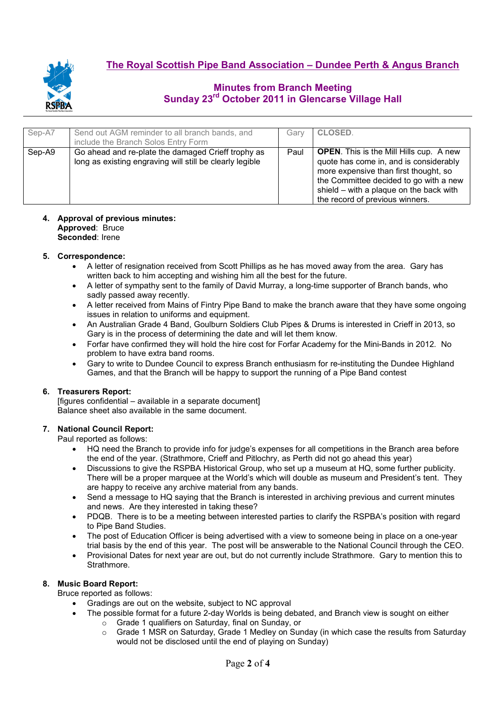

| Sep-A7 | Send out AGM reminder to all branch bands, and<br>include the Branch Solos Entry Form                          | Garv | <b>CLOSED.</b>                                                                                                                                                                                                                                            |
|--------|----------------------------------------------------------------------------------------------------------------|------|-----------------------------------------------------------------------------------------------------------------------------------------------------------------------------------------------------------------------------------------------------------|
| Sep-A9 | Go ahead and re-plate the damaged Crieff trophy as<br>long as existing engraving will still be clearly legible | Paul | <b>OPEN.</b> This is the Mill Hills cup. A new<br>quote has come in, and is considerably<br>more expensive than first thought, so<br>the Committee decided to go with a new<br>shield - with a plaque on the back with<br>the record of previous winners. |

#### **4. Approval of previous minutes: Approved**: Bruce **Seconded**: Irene

## **5. Correspondence:**

- A letter of resignation received from Scott Phillips as he has moved away from the area. Gary has written back to him accepting and wishing him all the best for the future.
- A letter of sympathy sent to the family of David Murray, a long-time supporter of Branch bands, who sadly passed away recently.
- A letter received from Mains of Fintry Pipe Band to make the branch aware that they have some ongoing issues in relation to uniforms and equipment.
- An Australian Grade 4 Band, Goulburn Soldiers Club Pipes & Drums is interested in Crieff in 2013, so Gary is in the process of determining the date and will let them know.
- Forfar have confirmed they will hold the hire cost for Forfar Academy for the Mini-Bands in 2012. No problem to have extra band rooms.
- Gary to write to Dundee Council to express Branch enthusiasm for re-instituting the Dundee Highland Games, and that the Branch will be happy to support the running of a Pipe Band contest

# **6. Treasurers Report:**

[figures confidential – available in a separate document] Balance sheet also available in the same document.

# **7. National Council Report:**

Paul reported as follows:

- HQ need the Branch to provide info for judge's expenses for all competitions in the Branch area before the end of the year. (Strathmore, Crieff and Pitlochry, as Perth did not go ahead this year)
- Discussions to give the RSPBA Historical Group, who set up a museum at HQ, some further publicity. There will be a proper marquee at the World's which will double as museum and President's tent. They are happy to receive any archive material from any bands.
- Send a message to HQ saying that the Branch is interested in archiving previous and current minutes and news. Are they interested in taking these?
- PDQB. There is to be a meeting between interested parties to clarify the RSPBA's position with regard to Pipe Band Studies.
- The post of Education Officer is being advertised with a view to someone being in place on a one-year trial basis by the end of this year. The post will be answerable to the National Council through the CEO.
- Provisional Dates for next year are out, but do not currently include Strathmore. Gary to mention this to Strathmore.

# **8. Music Board Report:**

Bruce reported as follows:

- Gradings are out on the website, subject to NC approval
	- The possible format for a future 2-day Worlds is being debated, and Branch view is sought on either
		- o Grade 1 qualifiers on Saturday, final on Sunday, or
		- o Grade 1 MSR on Saturday, Grade 1 Medley on Sunday (in which case the results from Saturday would not be disclosed until the end of playing on Sunday)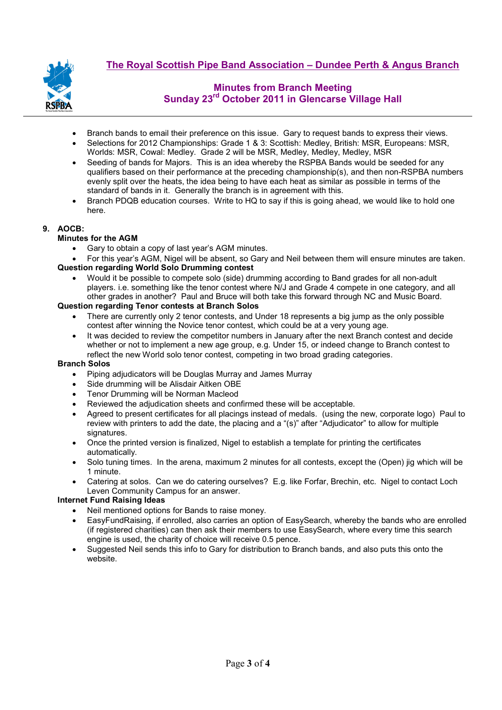

- Branch bands to email their preference on this issue. Gary to request bands to express their views.
- Selections for 2012 Championships: Grade 1 & 3: Scottish: Medley, British: MSR, Europeans: MSR, Worlds: MSR, Cowal: Medley. Grade 2 will be MSR, Medley, Medley, Medley, MSR
- Seeding of bands for Majors. This is an idea whereby the RSPBA Bands would be seeded for any qualifiers based on their performance at the preceding championship(s), and then non-RSPBA numbers evenly split over the heats, the idea being to have each heat as similar as possible in terms of the standard of bands in it. Generally the branch is in agreement with this.
- Branch PDQB education courses. Write to HQ to say if this is going ahead, we would like to hold one here.

# **9. AOCB:**

## **Minutes for the AGM**

- Gary to obtain a copy of last year's AGM minutes.
- For this year's AGM, Nigel will be absent, so Gary and Neil between them will ensure minutes are taken. **Question regarding World Solo Drumming contest**
	- Would it be possible to compete solo (side) drumming according to Band grades for all non-adult players. i.e. something like the tenor contest where N/J and Grade 4 compete in one category, and all other grades in another? Paul and Bruce will both take this forward through NC and Music Board.

## **Question regarding Tenor contests at Branch Solos**

- There are currently only 2 tenor contests, and Under 18 represents a big jump as the only possible contest after winning the Novice tenor contest, which could be at a very young age.
- It was decided to review the competitor numbers in January after the next Branch contest and decide whether or not to implement a new age group, e.g. Under 15, or indeed change to Branch contest to reflect the new World solo tenor contest, competing in two broad grading categories.

#### **Branch Solos**

- Piping adjudicators will be Douglas Murray and James Murray
- Side drumming will be Alisdair Aitken OBE
- Tenor Drumming will be Norman Macleod
- Reviewed the adjudication sheets and confirmed these will be acceptable.
- Agreed to present certificates for all placings instead of medals. (using the new, corporate logo) Paul to review with printers to add the date, the placing and a "(s)" after "Adjudicator" to allow for multiple signatures.
- Once the printed version is finalized, Nigel to establish a template for printing the certificates automatically.
- Solo tuning times. In the arena, maximum 2 minutes for all contests, except the (Open) jig which will be 1 minute.
- Catering at solos. Can we do catering ourselves? E.g. like Forfar, Brechin, etc. Nigel to contact Loch Leven Community Campus for an answer.

### **Internet Fund Raising Ideas**

- Neil mentioned options for Bands to raise money.
- EasyFundRaising, if enrolled, also carries an option of EasySearch, whereby the bands who are enrolled (if registered charities) can then ask their members to use EasySearch, where every time this search engine is used, the charity of choice will receive 0.5 pence.
- Suggested Neil sends this info to Gary for distribution to Branch bands, and also puts this onto the website.